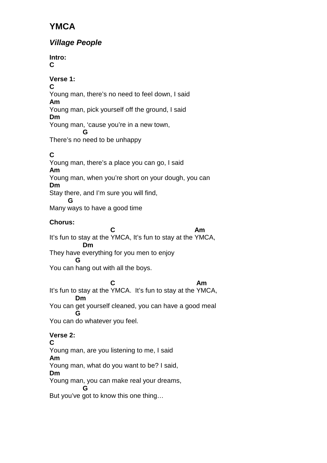# **YMCA**

# **Village People**

**Intro: C** 

# **Verse 1:**

**C**  Young man, there's no need to feel down, I said **Am** 

Young man, pick yourself off the ground, I said **Dm** 

Young man, 'cause you're in a new town,

**G** G There's no need to be unhappy

# **C**

Young man, there's a place you can go, I said **Am**  Young man, when you're short on your dough, you can **Dm**  Stay there, and I'm sure you will find,  **G** 

Many ways to have a good time

# **Chorus:**

**C** Am It's fun to stay at the YMCA, It's fun to stay at the YMCA,  **Dm**  They have everything for you men to enjoy

#### **G**

You can hang out with all the boys.

**C** Am It's fun to stay at the YMCA. It's fun to stay at the YMCA,  **Dm** 

You can get yourself cleaned, you can have a good meal  **G** 

You can do whatever you feel.

# **Verse 2:**

#### **C**

Young man, are you listening to me, I said

#### **Am**

Young man, what do you want to be? I said,

# **Dm**

Young man, you can make real your dreams,

**G** G But you've got to know this one thing…